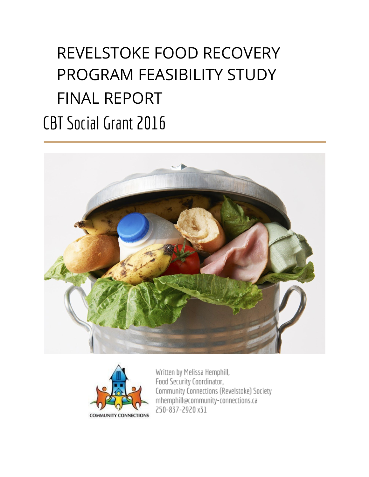# REVELSTOKE FOOD RECOVERY PROGRAM FEASIBILITY STUDY FINAL REPORT CBT Social Grant 2016





Written by Melissa Hemphill, Food Security Coordinator, Community Connections (Revelstoke) Society mhemphill@community-connections.ca 250-837-2920 x31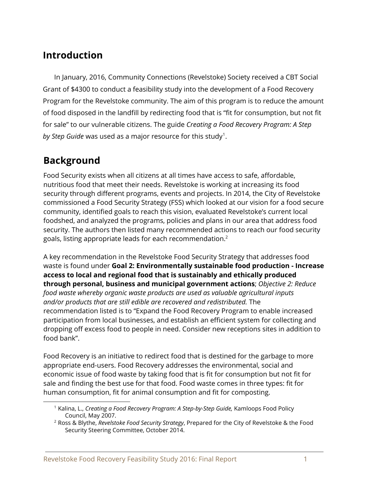## **Introduction**

In January, 2016, Community Connections (Revelstoke) Society received a CBT Social Grant of \$4300 to conduct a feasibility study into the development of a Food Recovery Program for the Revelstoke community. The aim of this program is to reduce the amount of food disposed in the landfill by redirecting food that is "fit for consumption, but not fit for sale" to our vulnerable citizens. The guide *Creating a Food Recovery Program: A Step* by Step Guide was used as a major resource for this study<sup>1</sup>.

## **Background**

Food Security exists when all citizens at all times have access to safe, affordable, nutritious food that meet their needs. Revelstoke is working at increasing its food security through different programs, events and projects. In 2014, the City of Revelstoke commissioned a Food Security Strategy (FSS) which looked at our vision for a food secure community, identified goals to reach this vision, evaluated Revelstoke's current local foodshed, and analyzed the programs, policies and plans in our area that address food security. The authors then listed many recommended actions to reach our food security goals, listing appropriate leads for each recommendation.<sup>2</sup>

A key recommendation in the Revelstoke Food Security Strategy that addresses food waste is found under **Goal 2: Environmentally sustainable food production - Increase access to local and regional food that is sustainably and ethically produced through personal, business and municipal government actions**; *Objective 2: Reduce food waste whereby organic waste products are used as valuable agricultural inputs and/or products that are still edible are recovered and redistributed.* The recommendation listed is to "Expand the Food Recovery Program to enable increased participation from local businesses, and establish an efficient system for collecting and dropping off excess food to people in need. Consider new receptions sites in addition to food bank".

Food Recovery is an initiative to redirect food that is destined for the garbage to more appropriate end-users. Food Recovery addresses the environmental, social and economic issue of food waste by taking food that is fit for consumption but not fit for sale and finding the best use for that food. Food waste comes in three types: fit for human consumption, fit for animal consumption and fit for composting.

<sup>&</sup>lt;sup>1</sup> Kalina, L., *Creating a Food Recovery Program: A Step-by-Step Guide,* Kamloops Food Policy Council, May 2007.

<sup>2</sup> Ross & Blythe, *Revelstoke Food Security Strategy*, Prepared for the City of Revelstoke & the Food Security Steering Committee, October 2014.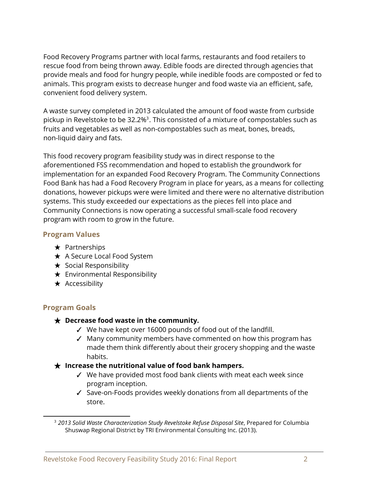Food Recovery Programs partner with local farms, restaurants and food retailers to rescue food from being thrown away. Edible foods are directed through agencies that provide meals and food for hungry people, while inedible foods are composted or fed to animals. This program exists to decrease hunger and food waste via an efficient, safe, convenient food delivery system.

A waste survey completed in 2013 calculated the amount of food waste from curbside pickup in Revelstoke to be  $32.2\%$ <sup>3</sup>. This consisted of a mixture of compostables such as fruits and vegetables as well as non-compostables such as meat, bones, breads, non-liquid dairy and fats.

This food recovery program feasibility study was in direct response to the aforementioned FSS recommendation and hoped to establish the groundwork for implementation for an expanded Food Recovery Program. The Community Connections Food Bank has had a Food Recovery Program in place for years, as a means for collecting donations, however pickups were were limited and there were no alternative distribution systems. This study exceeded our expectations as the pieces fell into place and Community Connections is now operating a successful small-scale food recovery program with room to grow in the future.

#### **Program Values**

- $\star$  Partnerships
- ★ A Secure Local Food System
- $\star$  Social Responsibility
- $\star$  Environmental Responsibility
- $\star$  Accessibility

#### **Program Goals**

#### ★ **Decrease food waste in the community.**

- ✓ We have kept over 16000 pounds of food out of the landfill.
- ✓ Many community members have commented on how this program has made them think differently about their grocery shopping and the waste habits.

#### ★ **Increase the nutritional value of food bank hampers.**

- ✓ We have provided most food bank clients with meat each week since program inception.
- ✓ Save-on-Foods provides weekly donations from all departments of the store.

<sup>3</sup> *2013 Solid Waste Characterization Study Revelstoke Refuse Disposal Site*, Prepared for Columbia Shuswap Regional District by TRI Environmental Consulting Inc. (2013).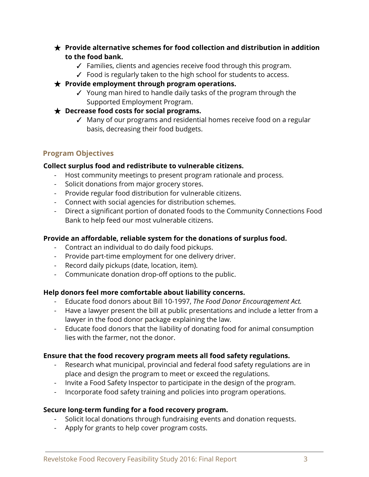- ★ **Provide alternative schemes for food collection and distribution in addition to the food bank.**
	- ✓ Families, clients and agencies receive food through this program.
	- ✓ Food is regularly taken to the high school for students to access.
- ★ **Provide employment through program operations.**
	- ✓ Young man hired to handle daily tasks of the program through the Supported Employment Program.
- ★ **Decrease food costs for social programs.**
	- ✓ Many of our programs and residential homes receive food on a regular basis, decreasing their food budgets.

#### **Program Objectives**

#### **Collect surplus food and redistribute to vulnerable citizens.**

- Host community meetings to present program rationale and process.
- Solicit donations from major grocery stores.
- Provide regular food distribution for vulnerable citizens.
- Connect with social agencies for distribution schemes.
- Direct a significant portion of donated foods to the Community Connections Food Bank to help feed our most vulnerable citizens.

#### **Provide an affordable, reliable system for the donations of surplus food.**

- Contract an individual to do daily food pickups.
- Provide part-time employment for one delivery driver.
- Record daily pickups (date, location, item).
- Communicate donation drop-off options to the public.

#### **Help donors feel more comfortable about liability concerns.**

- Educate food donors about Bill 10-1997, *The Food Donor Encouragement Act.*
- Have a lawyer present the bill at public presentations and include a letter from a lawyer in the food donor package explaining the law.
- Educate food donors that the liability of donating food for animal consumption lies with the farmer, not the donor.

#### **Ensure that the food recovery program meets all food safety regulations.**

- Research what municipal, provincial and federal food safety regulations are in place and design the program to meet or exceed the regulations.
- Invite a Food Safety Inspector to participate in the design of the program.
- Incorporate food safety training and policies into program operations.

#### **Secure long-term funding for a food recovery program.**

- Solicit local donations through fundraising events and donation requests.
- Apply for grants to help cover program costs.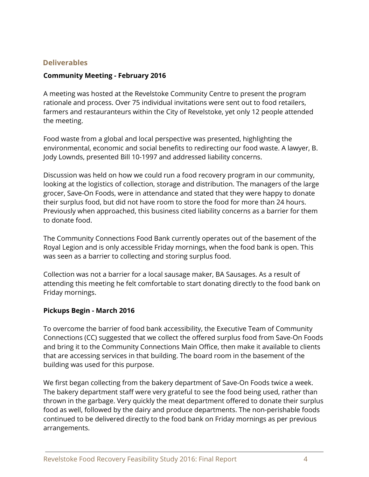#### **Deliverables**

#### **Community Meeting - February 2016**

A meeting was hosted at the Revelstoke Community Centre to present the program rationale and process. Over 75 individual invitations were sent out to food retailers, farmers and restauranteurs within the City of Revelstoke, yet only 12 people attended the meeting.

Food waste from a global and local perspective was presented, highlighting the environmental, economic and social benefits to redirecting our food waste. A lawyer, B. Jody Lownds, presented Bill 10-1997 and addressed liability concerns.

Discussion was held on how we could run a food recovery program in our community, looking at the logistics of collection, storage and distribution. The managers of the large grocer, Save-On Foods, were in attendance and stated that they were happy to donate their surplus food, but did not have room to store the food for more than 24 hours. Previously when approached, this business cited liability concerns as a barrier for them to donate food.

The Community Connections Food Bank currently operates out of the basement of the Royal Legion and is only accessible Friday mornings, when the food bank is open. This was seen as a barrier to collecting and storing surplus food.

Collection was not a barrier for a local sausage maker, BA Sausages. As a result of attending this meeting he felt comfortable to start donating directly to the food bank on Friday mornings.

#### **Pickups Begin - March 2016**

To overcome the barrier of food bank accessibility, the Executive Team of Community Connections (CC) suggested that we collect the offered surplus food from Save-On Foods and bring it to the Community Connections Main Office, then make it available to clients that are accessing services in that building. The board room in the basement of the building was used for this purpose.

We first began collecting from the bakery department of Save-On Foods twice a week. The bakery department staff were very grateful to see the food being used, rather than thrown in the garbage. Very quickly the meat department offered to donate their surplus food as well, followed by the dairy and produce departments. The non-perishable foods continued to be delivered directly to the food bank on Friday mornings as per previous arrangements.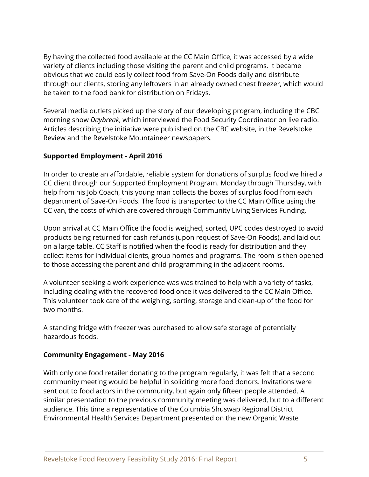By having the collected food available at the CC Main Office, it was accessed by a wide variety of clients including those visiting the parent and child programs. It became obvious that we could easily collect food from Save-On Foods daily and distribute through our clients, storing any leftovers in an already owned chest freezer, which would be taken to the food bank for distribution on Fridays.

Several media outlets picked up the story of our developing program, including the CBC morning show *Daybreak*, which interviewed the Food Security Coordinator on live radio. Articles describing the initiative were published on the CBC website, in the Revelstoke Review and the Revelstoke Mountaineer newspapers.

#### **Supported Employment - April 2016**

In order to create an affordable, reliable system for donations of surplus food we hired a CC client through our Supported Employment Program. Monday through Thursday, with help from his Job Coach, this young man collects the boxes of surplus food from each department of Save-On Foods. The food is transported to the CC Main Office using the CC van, the costs of which are covered through Community Living Services Funding.

Upon arrival at CC Main Office the food is weighed, sorted, UPC codes destroyed to avoid products being returned for cash refunds (upon request of Save-On Foods), and laid out on a large table. CC Staff is notified when the food is ready for distribution and they collect items for individual clients, group homes and programs. The room is then opened to those accessing the parent and child programming in the adjacent rooms.

A volunteer seeking a work experience was was trained to help with a variety of tasks, including dealing with the recovered food once it was delivered to the CC Main Office. This volunteer took care of the weighing, sorting, storage and clean-up of the food for two months.

A standing fridge with freezer was purchased to allow safe storage of potentially hazardous foods.

#### **Community Engagement - May 2016**

With only one food retailer donating to the program regularly, it was felt that a second community meeting would be helpful in soliciting more food donors. Invitations were sent out to food actors in the community, but again only fifteen people attended. A similar presentation to the previous community meeting was delivered, but to a different audience. This time a representative of the Columbia Shuswap Regional District Environmental Health Services Department presented on the new Organic Waste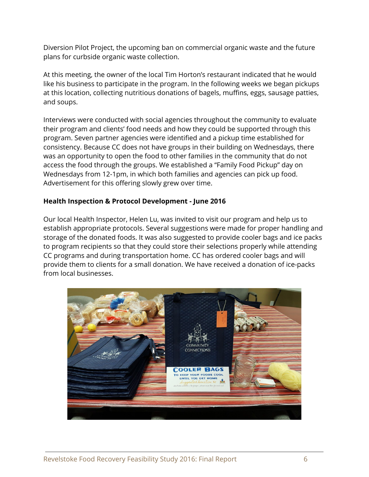Diversion Pilot Project, the upcoming ban on commercial organic waste and the future plans for curbside organic waste collection.

At this meeting, the owner of the local Tim Horton's restaurant indicated that he would like his business to participate in the program. In the following weeks we began pickups at this location, collecting nutritious donations of bagels, muffins, eggs, sausage patties, and soups.

Interviews were conducted with social agencies throughout the community to evaluate their program and clients' food needs and how they could be supported through this program. Seven partner agencies were identified and a pickup time established for consistency. Because CC does not have groups in their building on Wednesdays, there was an opportunity to open the food to other families in the community that do not access the food through the groups. We established a "Family Food Pickup" day on Wednesdays from 12-1pm, in which both families and agencies can pick up food. Advertisement for this offering slowly grew over time.

#### **Health Inspection & Protocol Development - June 2016**

Our local Health Inspector, Helen Lu, was invited to visit our program and help us to establish appropriate protocols. Several suggestions were made for proper handling and storage of the donated foods. It was also suggested to provide cooler bags and ice packs to program recipients so that they could store their selections properly while attending CC programs and during transportation home. CC has ordered cooler bags and will provide them to clients for a small donation. We have received a donation of ice-packs from local businesses.

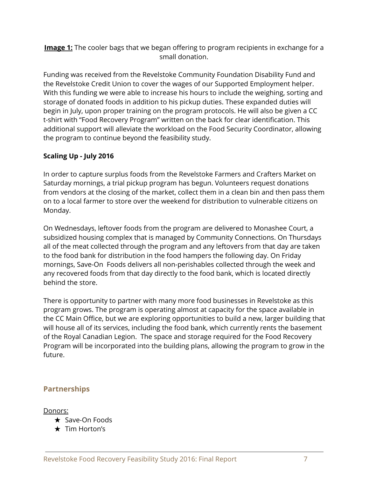**Image 1:** The cooler bags that we began offering to program recipients in exchange for a small donation.

Funding was received from the Revelstoke Community Foundation Disability Fund and the Revelstoke Credit Union to cover the wages of our Supported Employment helper. With this funding we were able to increase his hours to include the weighing, sorting and storage of donated foods in addition to his pickup duties. These expanded duties will begin in July, upon proper training on the program protocols. He will also be given a CC t-shirt with "Food Recovery Program" written on the back for clear identification. This additional support will alleviate the workload on the Food Security Coordinator, allowing the program to continue beyond the feasibility study.

#### **Scaling Up - July 2016**

In order to capture surplus foods from the Revelstoke Farmers and Crafters Market on Saturday mornings, a trial pickup program has begun. Volunteers request donations from vendors at the closing of the market, collect them in a clean bin and then pass them on to a local farmer to store over the weekend for distribution to vulnerable citizens on Monday.

On Wednesdays, leftover foods from the program are delivered to Monashee Court, a subsidized housing complex that is managed by Community Connections. On Thursdays all of the meat collected through the program and any leftovers from that day are taken to the food bank for distribution in the food hampers the following day. On Friday mornings, Save-On Foods delivers all non-perishables collected through the week and any recovered foods from that day directly to the food bank, which is located directly behind the store.

There is opportunity to partner with many more food businesses in Revelstoke as this program grows. The program is operating almost at capacity for the space available in the CC Main Office, but we are exploring opportunities to build a new, larger building that will house all of its services, including the food bank, which currently rents the basement of the Royal Canadian Legion. The space and storage required for the Food Recovery Program will be incorporated into the building plans, allowing the program to grow in the future.

#### **Partnerships**

Donors:

- ★ Save-On Foods
- ★ Tim Horton's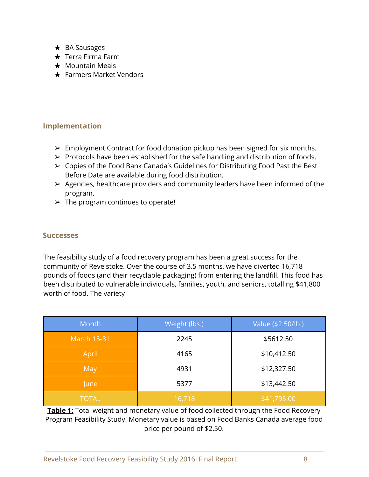- ★ BA Sausages
- ★ Terra Firma Farm
- $\star$  Mountain Meals
- ★ Farmers Market Vendors

#### **Implementation**

- $\triangleright$  Employment Contract for food donation pickup has been signed for six months.
- $\triangleright$  Protocols have been established for the safe handling and distribution of foods.
- ➢ Copies of the Food Bank Canada's Guidelines for Distributing Food Past the Best Before Date are available during food distribution.
- $\triangleright$  Agencies, healthcare providers and community leaders have been informed of the program.
- $\triangleright$  The program continues to operate!

#### **Successes**

The feasibility study of a food recovery program has been a great success for the community of Revelstoke. Over the course of 3.5 months, we have diverted 16,718 pounds of foods (and their recyclable packaging) from entering the landfill. This food has been distributed to vulnerable individuals, families, youth, and seniors, totalling \$41,800 worth of food. The variety

| Month              | Weight (lbs.) | Value (\$2.50/lb.) |
|--------------------|---------------|--------------------|
| <b>March 15-31</b> | 2245          | \$5612.50          |
| April              | 4165          | \$10,412.50        |
| May                | 4931          | \$12,327.50        |
| June               | 5377          | \$13,442.50        |
| <b>TOTAL</b>       | 16,718        | \$41,795.00        |

**Table 1:** Total weight and monetary value of food collected through the Food Recovery Program Feasibility Study. Monetary value is based on Food Banks Canada average food price per pound of \$2.50.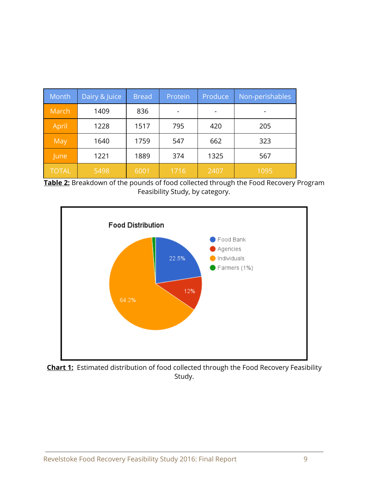| Month        | Dairy & Juice | <b>Bread</b> | Protein | Produce | Non-perishables |
|--------------|---------------|--------------|---------|---------|-----------------|
| March        | 1409          | 836          |         |         |                 |
| April        | 1228          | 1517         | 795     | 420     | 205             |
| May          | 1640          | 1759         | 547     | 662     | 323             |
| June         | 1221          | 1889         | 374     | 1325    | 567             |
| <b>TOTAL</b> | 5498          | 6001         | 1716    | 2407    | 1095            |

**Table 2:** Breakdown of the pounds of food collected through the Food Recovery Program Feasibility Study, by category.



**Chart 1:** Estimated distribution of food collected through the Food Recovery Feasibility Study.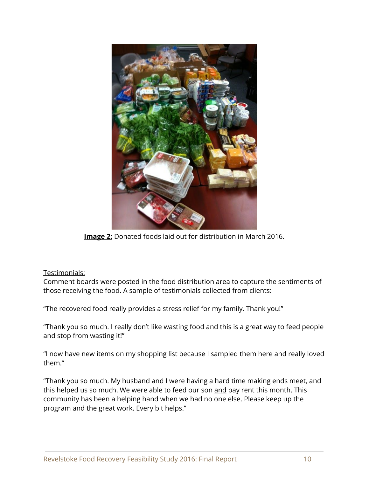

**Image 2:** Donated foods laid out for distribution in March 2016.

#### Testimonials:

Comment boards were posted in the food distribution area to capture the sentiments of those receiving the food. A sample of testimonials collected from clients:

"The recovered food really provides a stress relief for my family. Thank you!"

"Thank you so much. I really don't like wasting food and this is a great way to feed people and stop from wasting it!"

"I now have new items on my shopping list because I sampled them here and really loved them."

"Thank you so much. My husband and I were having a hard time making ends meet, and this helped us so much. We were able to feed our son and pay rent this month. This community has been a helping hand when we had no one else. Please keep up the program and the great work. Every bit helps."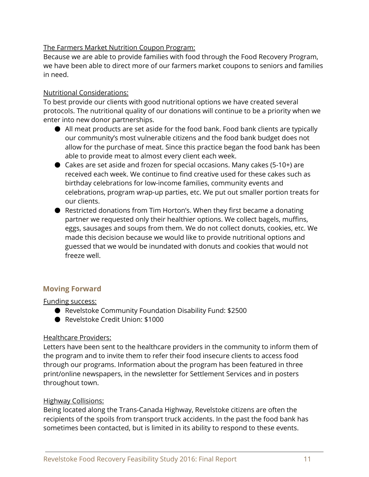#### The Farmers Market Nutrition Coupon Program:

Because we are able to provide families with food through the Food Recovery Program, we have been able to direct more of our farmers market coupons to seniors and families in need.

#### Nutritional Considerations:

To best provide our clients with good nutritional options we have created several protocols. The nutritional quality of our donations will continue to be a priority when we enter into new donor partnerships.

- All meat products are set aside for the food bank. Food bank clients are typically our community's most vulnerable citizens and the food bank budget does not allow for the purchase of meat. Since this practice began the food bank has been able to provide meat to almost every client each week.
- Cakes are set aside and frozen for special occasions. Many cakes (5-10+) are received each week. We continue to find creative used for these cakes such as birthday celebrations for low-income families, community events and celebrations, program wrap-up parties, etc. We put out smaller portion treats for our clients.
- Restricted donations from Tim Horton's. When they first became a donating partner we requested only their healthier options. We collect bagels, muffins, eggs, sausages and soups from them. We do not collect donuts, cookies, etc. We made this decision because we would like to provide nutritional options and guessed that we would be inundated with donuts and cookies that would not freeze well.

#### **Moving Forward**

#### Funding success:

- Revelstoke Community Foundation Disability Fund: \$2500
- Revelstoke Credit Union: \$1000

#### Healthcare Providers:

Letters have been sent to the healthcare providers in the community to inform them of the program and to invite them to refer their food insecure clients to access food through our programs. Information about the program has been featured in three print/online newspapers, in the newsletter for Settlement Services and in posters throughout town.

#### Highway Collisions:

Being located along the Trans-Canada Highway, Revelstoke citizens are often the recipients of the spoils from transport truck accidents. In the past the food bank has sometimes been contacted, but is limited in its ability to respond to these events.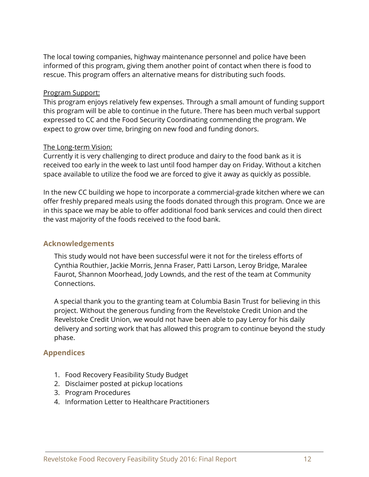The local towing companies, highway maintenance personnel and police have been informed of this program, giving them another point of contact when there is food to rescue. This program offers an alternative means for distributing such foods.

#### Program Support:

This program enjoys relatively few expenses. Through a small amount of funding support this program will be able to continue in the future. There has been much verbal support expressed to CC and the Food Security Coordinating commending the program. We expect to grow over time, bringing on new food and funding donors.

#### The Long-term Vision:

Currently it is very challenging to direct produce and dairy to the food bank as it is received too early in the week to last until food hamper day on Friday. Without a kitchen space available to utilize the food we are forced to give it away as quickly as possible.

In the new CC building we hope to incorporate a commercial-grade kitchen where we can offer freshly prepared meals using the foods donated through this program. Once we are in this space we may be able to offer additional food bank services and could then direct the vast majority of the foods received to the food bank.

#### **Acknowledgements**

This study would not have been successful were it not for the tireless efforts of Cynthia Routhier, Jackie Morris, Jenna Fraser, Patti Larson, Leroy Bridge, Maralee Faurot, Shannon Moorhead, Jody Lownds, and the rest of the team at Community Connections.

A special thank you to the granting team at Columbia Basin Trust for believing in this project. Without the generous funding from the Revelstoke Credit Union and the Revelstoke Credit Union, we would not have been able to pay Leroy for his daily delivery and sorting work that has allowed this program to continue beyond the study phase.

#### **Appendices**

- 1. Food Recovery Feasibility Study Budget
- 2. Disclaimer posted at pickup locations
- 3. Program Procedures
- 4. Information Letter to Healthcare Practitioners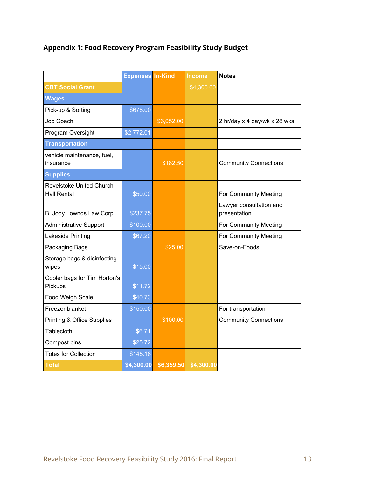### **Appendix 1: Food Recovery Program Feasibility Study Budget**

|                                                       | <b>Expenses In-Kind</b> |            | <b>Income</b> | <b>Notes</b>                            |
|-------------------------------------------------------|-------------------------|------------|---------------|-----------------------------------------|
| <b>CBT Social Grant</b>                               |                         |            | \$4,300.00    |                                         |
| <b>Wages</b>                                          |                         |            |               |                                         |
| Pick-up & Sorting                                     | \$678.00                |            |               |                                         |
| <b>Job Coach</b>                                      |                         | \$6,052.00 |               | 2 hr/day x 4 day/wk x 28 wks            |
| Program Oversight                                     | \$2,772.01              |            |               |                                         |
| <b>Transportation</b>                                 |                         |            |               |                                         |
| vehicle maintenance, fuel,<br>insurance               |                         | \$182.50   |               | <b>Community Connections</b>            |
| <b>Supplies</b>                                       |                         |            |               |                                         |
| <b>Revelstoke United Church</b><br><b>Hall Rental</b> | \$50.00                 |            |               | For Community Meeting                   |
| B. Jody Lownds Law Corp.                              | \$237.75                |            |               | Lawyer consultation and<br>presentation |
| <b>Administrative Support</b>                         | \$100.00                |            |               | For Community Meeting                   |
| Lakeside Printing                                     | \$67.20                 |            |               | For Community Meeting                   |
| Packaging Bags                                        |                         | \$25.00    |               | Save-on-Foods                           |
| Storage bags & disinfecting<br>wipes                  | \$15.00                 |            |               |                                         |
| Cooler bags for Tim Horton's<br>Pickups               | \$11.72                 |            |               |                                         |
| Food Weigh Scale                                      | \$40.73                 |            |               |                                         |
| Freezer blanket                                       | \$150.00                |            |               | For transportation                      |
| <b>Printing &amp; Office Supplies</b>                 |                         | \$100.00   |               | <b>Community Connections</b>            |
| Tablecloth                                            | \$6.71                  |            |               |                                         |
| Compost bins                                          | \$25.72                 |            |               |                                         |
| <b>Totes for Collection</b>                           | \$145.16                |            |               |                                         |
| <b>Total</b>                                          | \$4,300.00              | \$6,359.50 | \$4,300.00    |                                         |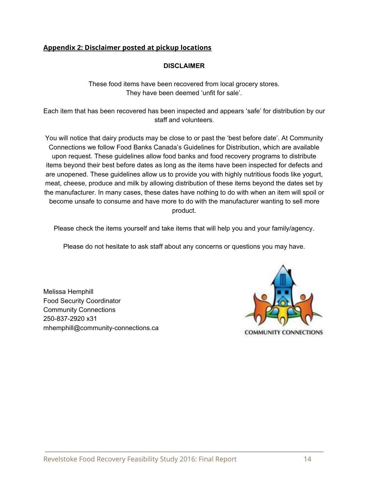#### **Appendix 2: Disclaimer posted at pickup locations**

#### **DISCLAIMER**

These food items have been recovered from local grocery stores. They have been deemed 'unfit for sale'.

Each item that has been recovered has been inspected and appears 'safe' for distribution by our staff and volunteers.

You will notice that dairy products may be close to or past the 'best before date'. At Community Connections we follow Food Banks Canada's Guidelines for Distribution, which are available upon request. These guidelines allow food banks and food recovery programs to distribute items beyond their best before dates as long as the items have been inspected for defects and are unopened. These guidelines allow us to provide you with highly nutritious foods like yogurt, meat, cheese, produce and milk by allowing distribution of these items beyond the dates set by the manufacturer. In many cases, these dates have nothing to do with when an item will spoil or become unsafe to consume and have more to do with the manufacturer wanting to sell more product.

Please check the items yourself and take items that will help you and your family/agency.

Please do not hesitate to ask staff about any concerns or questions you may have.

Melissa Hemphill Food Security Coordinator Community Connections 250-837-2920 x31 mhemphill@community-connections.ca

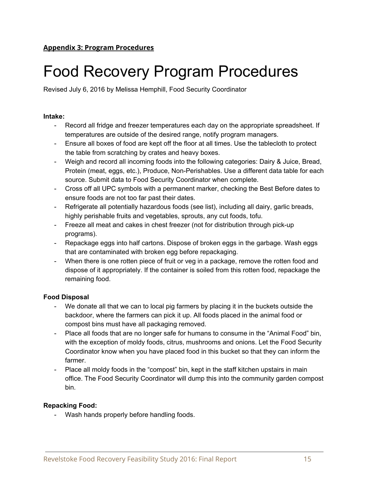## Food Recovery Program Procedures

Revised July 6, 2016 by Melissa Hemphill, Food Security Coordinator

#### **Intake:**

- Record all fridge and freezer temperatures each day on the appropriate spreadsheet. If temperatures are outside of the desired range, notify program managers.
- Ensure all boxes of food are kept off the floor at all times. Use the tablecloth to protect the table from scratching by crates and heavy boxes.
- Weigh and record all incoming foods into the following categories: Dairy & Juice, Bread, Protein (meat, eggs, etc.), Produce, Non-Perishables. Use a different data table for each source. Submit data to Food Security Coordinator when complete.
- Cross off all UPC symbols with a permanent marker, checking the Best Before dates to ensure foods are not too far past their dates.
- Refrigerate all potentially hazardous foods (see list), including all dairy, garlic breads, highly perishable fruits and vegetables, sprouts, any cut foods, tofu.
- Freeze all meat and cakes in chest freezer (not for distribution through pick-up programs).
- Repackage eggs into half cartons. Dispose of broken eggs in the garbage. Wash eggs that are contaminated with broken egg before repackaging.
- When there is one rotten piece of fruit or veg in a package, remove the rotten food and dispose of it appropriately. If the container is soiled from this rotten food, repackage the remaining food.

#### **Food Disposal**

- We donate all that we can to local pig farmers by placing it in the buckets outside the backdoor, where the farmers can pick it up. All foods placed in the animal food or compost bins must have all packaging removed.
- Place all foods that are no longer safe for humans to consume in the "Animal Food" bin, with the exception of moldy foods, citrus, mushrooms and onions. Let the Food Security Coordinator know when you have placed food in this bucket so that they can inform the farmer.
- Place all moldy foods in the "compost" bin, kept in the staff kitchen upstairs in main office. The Food Security Coordinator will dump this into the community garden compost bin.

#### **Repacking Food:**

- Wash hands properly before handling foods.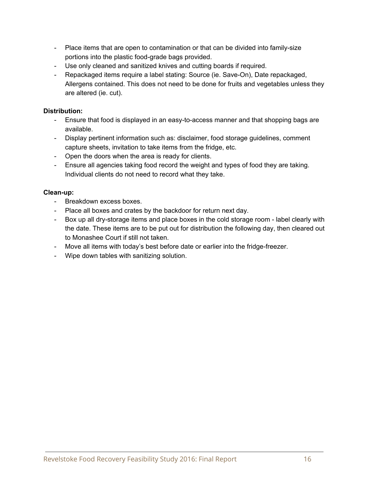- Place items that are open to contamination or that can be divided into family-size portions into the plastic food-grade bags provided.
- Use only cleaned and sanitized knives and cutting boards if required.
- Repackaged items require a label stating: Source (ie. Save-On), Date repackaged, Allergens contained. This does not need to be done for fruits and vegetables unless they are altered (ie. cut).

#### **Distribution:**

- Ensure that food is displayed in an easy-to-access manner and that shopping bags are available.
- Display pertinent information such as: disclaimer, food storage guidelines, comment capture sheets, invitation to take items from the fridge, etc.
- Open the doors when the area is ready for clients.
- Ensure all agencies taking food record the weight and types of food they are taking. Individual clients do not need to record what they take.

#### **Clean-up:**

- Breakdown excess boxes.
- Place all boxes and crates by the backdoor for return next day.
- Box up all dry-storage items and place boxes in the cold storage room label clearly with the date. These items are to be put out for distribution the following day, then cleared out to Monashee Court if still not taken.
- Move all items with today's best before date or earlier into the fridge-freezer.
- Wipe down tables with sanitizing solution.